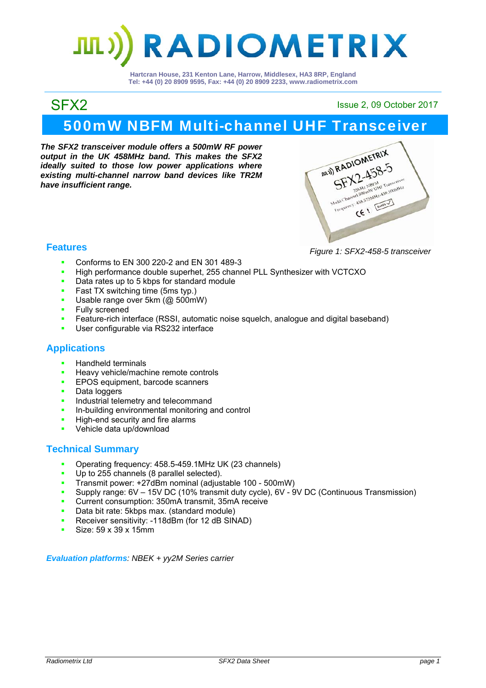# **RADIOMETRIX**

**Hartcran House, 231 Kenton Lane, Harrow, Middlesex, HA3 8RP, England Tel: +44 (0) 20 8909 9595, Fax: +44 (0) 20 8909 2233, www.radiometrix.com**

SFX2 Issue 2, 09 October 2017

# 500mW NBFM Multi-channel UHF Transceiver

*The SFX2 transceiver module offers a 500mW RF power output in the UK 458MHz band. This makes the SFX2 ideally suited to those low power applications where existing multi-channel narrow band devices like TR2M have insufficient range.* 



#### **Features**

- **Conforms to EN 300 220-2 and EN 301 489-3**
- High performance double superhet, 255 channel PLL Synthesizer with VCTCXO
- Data rates up to 5 kbps for standard module
- **Fast TX switching time (5ms typ.)**
- Usable range over 5km (@ 500mW)
- **Fully screened**
- Feature-rich interface (RSSI, automatic noise squelch, analogue and digital baseband)
- User configurable via RS232 interface

#### **Applications**

- Handheld terminals<br>Heavy vehicle/mach
- Heavy vehicle/machine remote controls<br>EPOS equipment barcode scappers
- EPOS equipment, barcode scanners
- Data loggers
- **Industrial telemetry and telecommand**
- In-building environmental monitoring and control
- High-end security and fire alarms
- Vehicle data up/download

#### **Technical Summary**

- Operating frequency: 458.5-459.1MHz UK (23 channels)
- Up to 255 channels (8 parallel selected).
- Transmit power: +27dBm nominal (adjustable 100 500mW)
- Supply range: 6V 15V DC (10% transmit duty cycle), 6V 9V DC (Continuous Transmission)
- **Current consumption: 350mA transmit, 35mA receive**
- Data bit rate: 5kbps max. (standard module)
- **Receiver sensitivity: -118dBm (for 12 dB SINAD)**
- Size: 59 x 39 x 15mm

*Evaluation platforms: NBEK + yy2M Series carrier*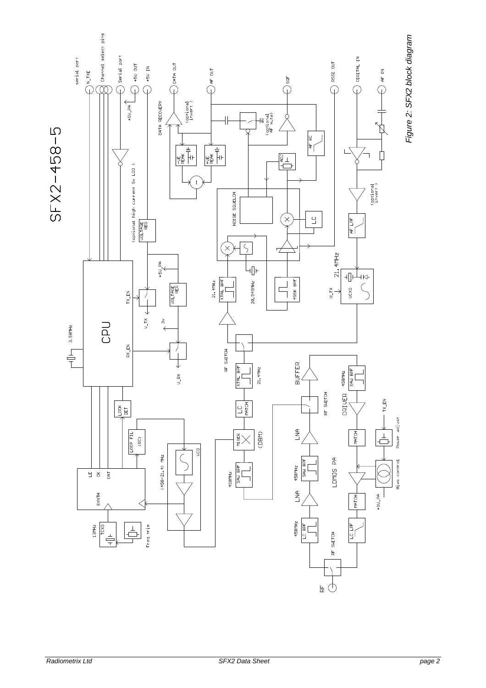

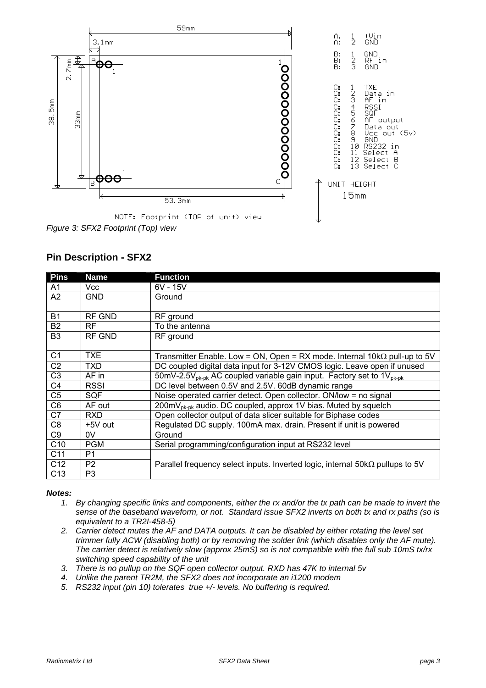

### **Pin Description - SFX2**

| <b>Pins</b>     | <b>Name</b>    | <b>Function</b>                                                                               |  |
|-----------------|----------------|-----------------------------------------------------------------------------------------------|--|
| A1              | Vcc            | $6V - 15V$                                                                                    |  |
| A2              | <b>GND</b>     | Ground                                                                                        |  |
|                 |                |                                                                                               |  |
| <b>B1</b>       | <b>RF GND</b>  | RF ground                                                                                     |  |
| <b>B2</b>       | RF.            | To the antenna                                                                                |  |
| B <sub>3</sub>  | RF GND         | RF ground                                                                                     |  |
|                 |                |                                                                                               |  |
| C <sub>1</sub>  | <b>TXE</b>     | Transmitter Enable. Low = ON, Open = RX mode. Internal $10k\Omega$ pull-up to 5V              |  |
| C <sub>2</sub>  | <b>TXD</b>     | DC coupled digital data input for 3-12V CMOS logic. Leave open if unused                      |  |
| C <sub>3</sub>  | AF in          | 50mV-2.5V <sub>pk-pk</sub> AC coupled variable gain input. Factory set to $1V_{\text{pk-pk}}$ |  |
| C4              | <b>RSSI</b>    | DC level between 0.5V and 2.5V. 60dB dynamic range                                            |  |
| C <sub>5</sub>  | SQF            | Noise operated carrier detect. Open collector. ON/low = no signal                             |  |
| C <sub>6</sub>  | AF out         | 200mV <sub>pk-pk</sub> audio. DC coupled, approx 1V bias. Muted by squelch                    |  |
| C7              | <b>RXD</b>     | Open collector output of data slicer suitable for Biphase codes                               |  |
| C <sub>8</sub>  | +5V out        | Regulated DC supply. 100mA max. drain. Present if unit is powered                             |  |
| C <sub>9</sub>  | 0V             | Ground                                                                                        |  |
| C <sub>10</sub> | <b>PGM</b>     | Serial programming/configuration input at RS232 level                                         |  |
| C <sub>11</sub> | P <sub>1</sub> |                                                                                               |  |
| C12             | P <sub>2</sub> | Parallel frequency select inputs. Inverted logic, internal $50k\Omega$ pullups to 5V          |  |
| C <sub>13</sub> | P3             |                                                                                               |  |

#### *Notes:*

- *1. By changing specific links and components, either the rx and/or the tx path can be made to invert the sense of the baseband waveform, or not. Standard issue SFX2 inverts on both tx and rx paths (so is equivalent to a TR2I-458-5)*
- *2. Carrier detect mutes the AF and DATA outputs. It can be disabled by either rotating the level set trimmer fully ACW (disabling both) or by removing the solder link (which disables only the AF mute). The carrier detect is relatively slow (approx 25mS) so is not compatible with the full sub 10mS tx/rx switching speed capability of the unit*
- *3. There is no pullup on the SQF open collector output. RXD has 47K to internal 5v*
- *4. Unlike the parent TR2M, the SFX2 does not incorporate an i1200 modem*
- *5. RS232 input (pin 10) tolerates true +/- levels. No buffering is required.*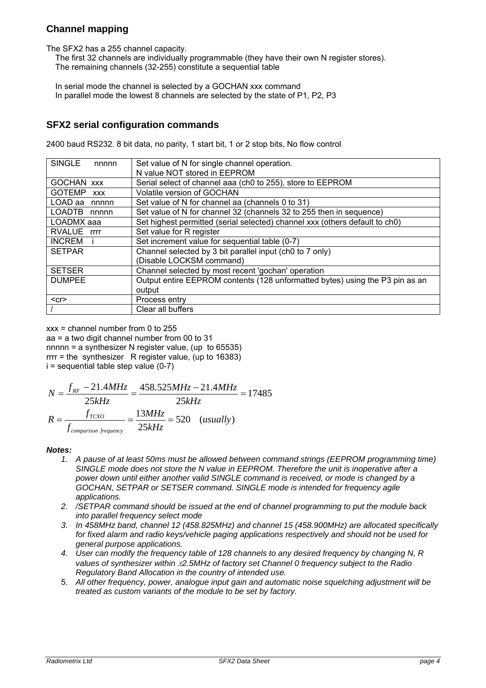#### **Channel mapping**

The SFX2 has a 255 channel capacity.

 The first 32 channels are individually programmable (they have their own N register stores). The remaining channels (32-255) constitute a sequential table

 In serial mode the channel is selected by a GOCHAN xxx command In parallel mode the lowest 8 channels are selected by the state of P1, P2, P3

#### **SFX2 serial configuration commands**

2400 baud RS232. 8 bit data, no parity, 1 start bit, 1 or 2 stop bits, No flow control

| <b>SINGLE</b><br>nnnnn      | Set value of N for single channel operation.                                 |  |  |
|-----------------------------|------------------------------------------------------------------------------|--|--|
|                             | N value NOT stored in EEPROM                                                 |  |  |
| <b>GOCHAN XXX</b>           | Serial select of channel aaa (ch0 to 255), store to EEPROM                   |  |  |
| <b>GOTEMP</b><br><b>XXX</b> | Volatile version of GOCHAN                                                   |  |  |
| LOAD aa nnnnn               | Set value of N for channel aa (channels 0 to 31)                             |  |  |
| LOADTB nnnnn                | Set value of N for channel 32 (channels 32 to 255 then in sequence)          |  |  |
| LOADMX aaa                  | Set highest permitted (serial selected) channel xxx (others default to ch0)  |  |  |
| RVALUE rrrr                 | Set value for R register                                                     |  |  |
| <b>INCREM</b>               | Set increment value for sequential table (0-7)                               |  |  |
| <b>SETPAR</b>               | Channel selected by 3 bit parallel input (ch0 to 7 only)                     |  |  |
|                             | (Disable LOCKSM command)                                                     |  |  |
| <b>SETSER</b>               | Channel selected by most recent 'gochan' operation                           |  |  |
| <b>DUMPEE</b>               | Output entire EEPROM contents (128 unformatted bytes) using the P3 pin as an |  |  |
|                             | output                                                                       |  |  |
| $<$ cr $>$                  | Process entry                                                                |  |  |
|                             | Clear all buffers                                                            |  |  |

 $xxx = channel$  number from 0 to 255 aa = a two digit channel number from 00 to 31 nnnnn = a synthesizer N register value, (up to 65535) rrrr = the synthesizer R register value, (up to 16383)  $i =$  sequential table step value (0-7)

$$
N = \frac{f_{RF} - 21.4MHz}{25kHz} = \frac{458.525MHz - 21.4MHz}{25kHz} = 17485
$$

$$
R = \frac{f_{TCXO}}{f_{comparison\ frequency}} = \frac{13MHz}{25kHz} = 520 \quad (usually)
$$

#### *Notes:*

- *1. A pause of at least 50ms must be allowed between command strings (EEPROM programming time) SINGLE mode does not store the N value in EEPROM. Therefore the unit is inoperative after a power down until either another valid SINGLE command is received, or mode is changed by a GOCHAN, SETPAR or SETSER command. SINGLE mode is intended for frequency agile applications.*
- *2. /SETPAR command should be issued at the end of channel programming to put the module back into parallel frequency select mode*
- *3. In 458MHz band, channel 12 (458.825MHz) and channel 15 (458.900MHz) are allocated specifically for fixed alarm and radio keys/vehicle paging applications respectively and should not be used for general purpose applications.*
- *4. User can modify the frequency table of 128 channels to any desired frequency by changing N, R values of synthesizer within 2.5MHz of factory set Channel 0 frequency subject to the Radio Regulatory Band Allocation in the country of intended use.*
- 5. *All other frequency, power, analogue input gain and automatic noise squelching adjustment will be treated as custom variants of the module to be set by factory.*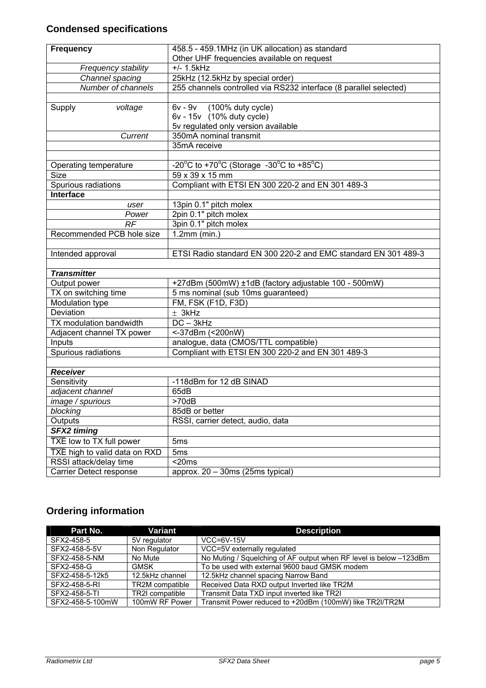# **Condensed specifications**

| <b>Frequency</b>              | 458.5 - 459.1MHz (in UK allocation) as standard                                                                      |  |  |
|-------------------------------|----------------------------------------------------------------------------------------------------------------------|--|--|
|                               | Other UHF frequencies available on request                                                                           |  |  |
| Frequency stability           | $+/- 1.5$ kHz                                                                                                        |  |  |
| Channel spacing               | 25kHz (12.5kHz by special order)                                                                                     |  |  |
| Number of channels            | 255 channels controlled via RS232 interface (8 parallel selected)                                                    |  |  |
|                               |                                                                                                                      |  |  |
| Supply<br>voltage             | 6v - 9v (100% duty cycle)                                                                                            |  |  |
|                               | 6v - 15v (10% duty cycle)                                                                                            |  |  |
|                               | 5v regulated only version available                                                                                  |  |  |
| Current                       | 350mA nominal transmit                                                                                               |  |  |
|                               | 35mA receive                                                                                                         |  |  |
|                               |                                                                                                                      |  |  |
| Operating temperature         | -20 $\mathrm{^{\circ}C}$ to +70 $\mathrm{^{\circ}C}$ (Storage -30 $\mathrm{^{\circ}C}$ to +85 $\mathrm{^{\circ}C}$ ) |  |  |
| <b>Size</b>                   | 59 x 39 x 15 mm                                                                                                      |  |  |
| Spurious radiations           | Compliant with ETSI EN 300 220-2 and EN 301 489-3                                                                    |  |  |
| Interface                     |                                                                                                                      |  |  |
| user                          | 13pin 0.1" pitch molex                                                                                               |  |  |
| Power                         | 2pin 0.1" pitch molex                                                                                                |  |  |
| RF                            | 3pin 0.1" pitch molex                                                                                                |  |  |
| Recommended PCB hole size     | $\overline{1.2}$ mm (min.)                                                                                           |  |  |
|                               |                                                                                                                      |  |  |
| Intended approval             | ETSI Radio standard EN 300 220-2 and EMC standard EN 301 489-3                                                       |  |  |
|                               |                                                                                                                      |  |  |
| <b>Transmitter</b>            |                                                                                                                      |  |  |
| Output power                  | +27dBm (500mW) ±1dB (factory adjustable 100 - 500mW)                                                                 |  |  |
| TX on switching time          | 5 ms nominal (sub 10ms guaranteed)                                                                                   |  |  |
| Modulation type               | FM, FSK (F1D, F3D)                                                                                                   |  |  |
| Deviation                     | ± 3kHz                                                                                                               |  |  |
| TX modulation bandwidth       | $DC - 3kHz$                                                                                                          |  |  |
| Adjacent channel TX power     | <-37dBm (<200nW)                                                                                                     |  |  |
| Inputs                        | analogue, data (CMOS/TTL compatible)                                                                                 |  |  |
| Spurious radiations           | Compliant with ETSI EN 300 220-2 and EN 301 489-3                                                                    |  |  |
|                               |                                                                                                                      |  |  |
| <b>Receiver</b>               |                                                                                                                      |  |  |
| Sensitivity                   | -118dBm for 12 dB SINAD                                                                                              |  |  |
| adjacent channel              | 65dB                                                                                                                 |  |  |
| image / spurious              | >70dB                                                                                                                |  |  |
| blocking                      | 85dB or better                                                                                                       |  |  |
| Outputs                       | RSSI, carrier detect, audio, data                                                                                    |  |  |
| <b>SFX2 timing</b>            |                                                                                                                      |  |  |
| TXE low to TX full power      | 5 <sub>ms</sub>                                                                                                      |  |  |
| TXE high to valid data on RXD | 5 <sub>ms</sub>                                                                                                      |  |  |
| RSSI attack/delay time        | $<$ 20 $ms$                                                                                                          |  |  |
|                               |                                                                                                                      |  |  |

# **Ordering information**

| Part No.         | Variant                | <b>Description</b>                                                 |
|------------------|------------------------|--------------------------------------------------------------------|
| SFX2-458-5       | 5V regulator           | $VCC = 6V - 15V$                                                   |
| SFX2-458-5-5V    | Non Regulator          | VCC=5V externally regulated                                        |
| SFX2-458-5-NM    | No Mute                | No Muting / Squelching of AF output when RF level is below -123dBm |
| SFX2-458-G       | <b>GMSK</b>            | To be used with external 9600 baud GMSK modem                      |
| SFX2-458-5-12k5  | 12.5kHz channel        | 12.5kHz channel spacing Narrow Band                                |
| SFX2-458-5-RI    | <b>TR2M</b> compatible | Received Data RXD output Inverted like TR2M                        |
| SFX2-458-5-TI    | TR2I compatible        | Transmit Data TXD input inverted like TR2I                         |
| SFX2-458-5-100mW | 100mW RF Power         | Transmit Power reduced to +20dBm (100mW) like TR2I/TR2M            |